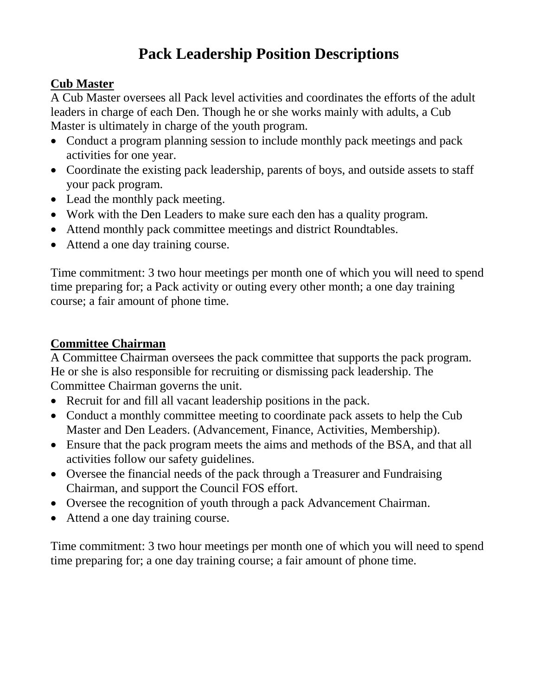# **Pack Leadership Position Descriptions**

## **Cub Master**

A Cub Master oversees all Pack level activities and coordinates the efforts of the adult leaders in charge of each Den. Though he or she works mainly with adults, a Cub Master is ultimately in charge of the youth program.

- Conduct a program planning session to include monthly pack meetings and pack activities for one year.
- Coordinate the existing pack leadership, parents of boys, and outside assets to staff your pack program.
- Lead the monthly pack meeting.
- Work with the Den Leaders to make sure each den has a quality program.
- Attend monthly pack committee meetings and district Roundtables.
- Attend a one day training course.

Time commitment: 3 two hour meetings per month one of which you will need to spend time preparing for; a Pack activity or outing every other month; a one day training course; a fair amount of phone time.

## **Committee Chairman**

A Committee Chairman oversees the pack committee that supports the pack program. He or she is also responsible for recruiting or dismissing pack leadership. The Committee Chairman governs the unit.

- Recruit for and fill all vacant leadership positions in the pack.
- Conduct a monthly committee meeting to coordinate pack assets to help the Cub Master and Den Leaders. (Advancement, Finance, Activities, Membership).
- Ensure that the pack program meets the aims and methods of the BSA, and that all activities follow our safety guidelines.
- Oversee the financial needs of the pack through a Treasurer and Fundraising Chairman, and support the Council FOS effort.
- Oversee the recognition of youth through a pack Advancement Chairman.
- Attend a one day training course.

Time commitment: 3 two hour meetings per month one of which you will need to spend time preparing for; a one day training course; a fair amount of phone time.